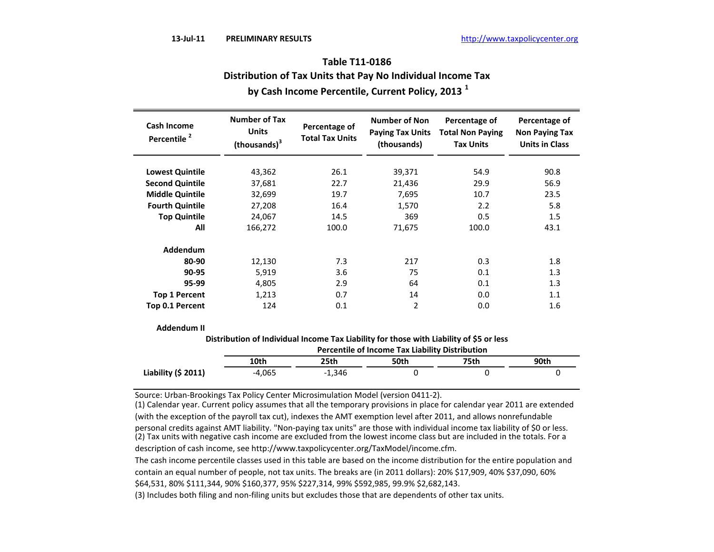| <b>Cash Income</b><br>Percentile <sup>2</sup> | <b>Number of Tax</b><br><b>Units</b><br>(thousands) <sup>3</sup> | Percentage of<br><b>Total Tax Units</b> | <b>Number of Non</b><br><b>Paying Tax Units</b><br>(thousands) | Percentage of<br><b>Total Non Paying</b><br><b>Tax Units</b> | Percentage of<br><b>Non Paying Tax</b><br><b>Units in Class</b> |
|-----------------------------------------------|------------------------------------------------------------------|-----------------------------------------|----------------------------------------------------------------|--------------------------------------------------------------|-----------------------------------------------------------------|
| <b>Lowest Quintile</b>                        | 43,362                                                           | 26.1                                    | 39,371                                                         | 54.9                                                         | 90.8                                                            |
| <b>Second Quintile</b>                        | 37,681                                                           | 22.7                                    | 21,436                                                         | 29.9                                                         | 56.9                                                            |
| <b>Middle Quintile</b>                        | 32,699                                                           | 19.7                                    | 7,695                                                          | 10.7                                                         | 23.5                                                            |
| <b>Fourth Quintile</b>                        | 27,208                                                           | 16.4                                    | 1,570                                                          | 2.2                                                          | 5.8                                                             |
| <b>Top Quintile</b>                           | 24,067                                                           | 14.5                                    | 369                                                            | 0.5                                                          | 1.5                                                             |
| All                                           | 166,272                                                          | 100.0                                   | 71,675                                                         | 100.0                                                        | 43.1                                                            |
| <b>Addendum</b>                               |                                                                  |                                         |                                                                |                                                              |                                                                 |
| 80-90                                         | 12,130                                                           | 7.3                                     | 217                                                            | 0.3                                                          | 1.8                                                             |
| 90-95                                         | 5,919                                                            | 3.6                                     | 75                                                             | 0.1                                                          | 1.3                                                             |
| 95-99                                         | 4,805                                                            | 2.9                                     | 64                                                             | 0.1                                                          | 1.3                                                             |
| <b>Top 1 Percent</b>                          | 1,213                                                            | 0.7                                     | 14                                                             | 0.0                                                          | 1.1                                                             |
| Top 0.1 Percent                               | 124                                                              | 0.1                                     | 2                                                              | 0.0                                                          | 1.6                                                             |

# **Table T11-0186 Distribution of Tax Units that Pay No Individual Income Tax by Cash Income Percentile, Current Policy, 2013 <sup>1</sup>**

**Distribution of Individual Income Tax Liability for those with Liability of \$5 or less**

|                      | <b>Percentile of Income Tax Liability Distribution</b> |          |      |      |      |  |  |
|----------------------|--------------------------------------------------------|----------|------|------|------|--|--|
|                      | 10th                                                   | 25th     | 50th | 75th | 90th |  |  |
| Liability $(5 2011)$ | $-4.065$                                               | $-1.346$ |      |      |      |  |  |

Source: Urban-Brookings Tax Policy Center Microsimulation Model (version 0411-2).

(1) Calendar year. Current policy assumes that all the temporary provisions in place for calendar year 2011 are extended (with the exception of the payroll tax cut), indexes the AMT exemption level after 2011, and allows nonrefundable personal credits against AMT liability. "Non-paying tax units" are those with individual income tax liability of \$0 or less.

(2) Tax units with negative cash income are excluded from the lowest income class but are included in the totals. For a

description of cash income, see http://www.taxpolicycenter.org/TaxModel/income.cfm.

The cash income percentile classes used in this table are based on the income distribution for the entire population and contain an equal number of people, not tax units. The breaks are (in 2011 dollars): 20% \$17,909, 40% \$37,090, 60% \$64,531, 80% \$111,344, 90% \$160,377, 95% \$227,314, 99% \$592,985, 99.9% \$2,682,143.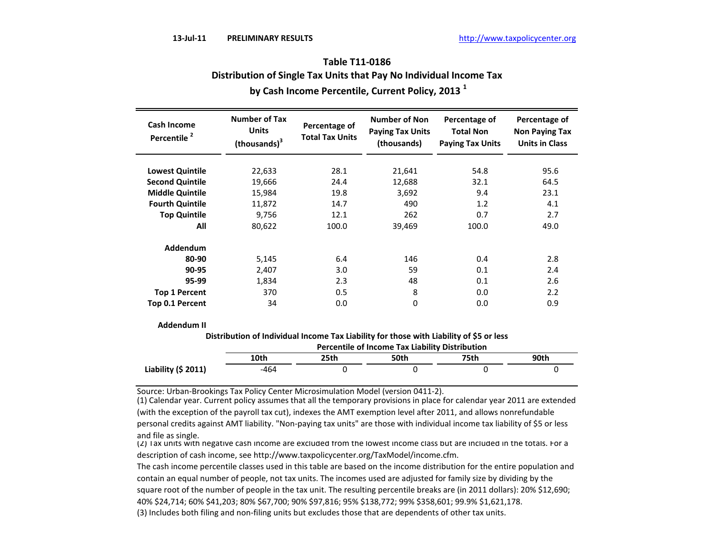| Cash Income<br>Percentile <sup>2</sup> | <b>Number of Tax</b><br><b>Units</b><br>(thousands) <sup>3</sup> | Percentage of<br><b>Total Tax Units</b> | <b>Number of Non</b><br><b>Paying Tax Units</b><br>(thousands) | Percentage of<br><b>Total Non</b><br><b>Paying Tax Units</b> | Percentage of<br><b>Non Paying Tax</b><br><b>Units in Class</b> |
|----------------------------------------|------------------------------------------------------------------|-----------------------------------------|----------------------------------------------------------------|--------------------------------------------------------------|-----------------------------------------------------------------|
| <b>Lowest Quintile</b>                 | 22,633                                                           | 28.1                                    | 21,641                                                         | 54.8                                                         | 95.6                                                            |
| <b>Second Quintile</b>                 | 19,666                                                           | 24.4                                    | 12,688                                                         | 32.1                                                         | 64.5                                                            |
| <b>Middle Quintile</b>                 | 15,984                                                           | 19.8                                    | 3,692                                                          | 9.4                                                          | 23.1                                                            |
| <b>Fourth Quintile</b>                 | 11,872                                                           | 14.7                                    | 490                                                            | 1.2                                                          | 4.1                                                             |
| <b>Top Quintile</b>                    | 9,756                                                            | 12.1                                    | 262                                                            | 0.7                                                          | 2.7                                                             |
| All                                    | 80,622                                                           | 100.0                                   | 39,469                                                         | 100.0                                                        | 49.0                                                            |
| Addendum                               |                                                                  |                                         |                                                                |                                                              |                                                                 |
| 80-90                                  | 5,145                                                            | 6.4                                     | 146                                                            | 0.4                                                          | 2.8                                                             |
| 90-95                                  | 2,407                                                            | 3.0                                     | 59                                                             | 0.1                                                          | 2.4                                                             |
| 95-99                                  | 1,834                                                            | 2.3                                     | 48                                                             | 0.1                                                          | 2.6                                                             |
| <b>Top 1 Percent</b>                   | 370                                                              | 0.5                                     | 8                                                              | 0.0                                                          | 2.2                                                             |
| Top 0.1 Percent                        | 34                                                               | 0.0                                     | 0                                                              | 0.0                                                          | 0.9                                                             |

### **by Cash Income Percentile, Current Policy, 2013 <sup>1</sup> Table T11-0186 Distribution of Single Tax Units that Pay No Individual Income Tax**

**Addendum II**

**Distribution of Individual Income Tax Liability for those with Liability of \$5 or less**

|                      | <b>Percentile of Income Tax Liability Distribution</b> |      |      |      |      |  |  |
|----------------------|--------------------------------------------------------|------|------|------|------|--|--|
|                      | 10th                                                   | 25th | 50th | 75th | 90th |  |  |
| Liability $(5 2011)$ | -464                                                   |      |      |      |      |  |  |

Source: Urban-Brookings Tax Policy Center Microsimulation Model (version 0411-2).

(1) Calendar year. Current policy assumes that all the temporary provisions in place for calendar year 2011 are extended (with the exception of the payroll tax cut), indexes the AMT exemption level after 2011, and allows nonrefundable personal credits against AMT liability. "Non-paying tax units" are those with individual income tax liability of \$5 or less and file as single.

(2) Tax units with negative cash income are excluded from the lowest income class but are included in the totals. For a description of cash income, see http://www.taxpolicycenter.org/TaxModel/income.cfm.

The cash income percentile classes used in this table are based on the income distribution for the entire population and contain an equal number of people, not tax units. The incomes used are adjusted for family size by dividing by the square root of the number of people in the tax unit. The resulting percentile breaks are (in 2011 dollars): 20% \$12,690; 40% \$24,714; 60% \$41,203; 80% \$67,700; 90% \$97,816; 95% \$138,772; 99% \$358,601; 99.9% \$1,621,178.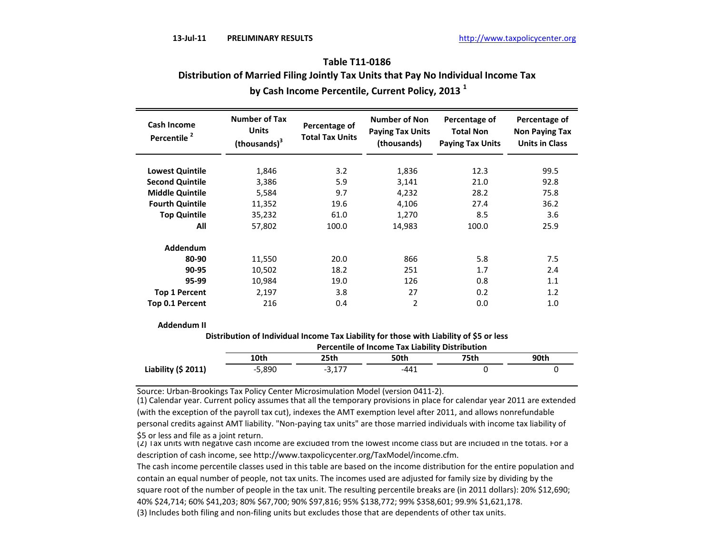# **by Cash Income Percentile, Current Policy, 2013 <sup>1</sup> Table T11-0186 Distribution of Married Filing Jointly Tax Units that Pay No Individual Income Tax**

| <b>Cash Income</b><br>Percentile <sup>2</sup> | <b>Number of Tax</b><br><b>Units</b><br>(thousands) <sup>3</sup> | Percentage of<br><b>Total Tax Units</b> | <b>Number of Non</b><br><b>Paying Tax Units</b><br>(thousands) | Percentage of<br><b>Total Non</b><br><b>Paying Tax Units</b> | Percentage of<br><b>Non Paying Tax</b><br><b>Units in Class</b> |
|-----------------------------------------------|------------------------------------------------------------------|-----------------------------------------|----------------------------------------------------------------|--------------------------------------------------------------|-----------------------------------------------------------------|
| <b>Lowest Quintile</b>                        | 1,846                                                            | 3.2                                     | 1,836                                                          | 12.3                                                         | 99.5                                                            |
| <b>Second Quintile</b>                        | 3,386                                                            | 5.9                                     | 3,141                                                          | 21.0                                                         | 92.8                                                            |
| <b>Middle Quintile</b>                        | 5,584                                                            | 9.7                                     | 4,232                                                          | 28.2                                                         | 75.8                                                            |
| <b>Fourth Quintile</b>                        | 11,352                                                           | 19.6                                    | 4,106                                                          | 27.4                                                         | 36.2                                                            |
| <b>Top Quintile</b>                           | 35,232                                                           | 61.0                                    | 1,270                                                          | 8.5                                                          | 3.6                                                             |
| All                                           | 57,802                                                           | 100.0                                   | 14,983                                                         | 100.0                                                        | 25.9                                                            |
| Addendum                                      |                                                                  |                                         |                                                                |                                                              |                                                                 |
| 80-90                                         | 11,550                                                           | 20.0                                    | 866                                                            | 5.8                                                          | 7.5                                                             |
| 90-95                                         | 10,502                                                           | 18.2                                    | 251                                                            | 1.7                                                          | 2.4                                                             |
| 95-99                                         | 10,984                                                           | 19.0                                    | 126                                                            | 0.8                                                          | 1.1                                                             |
| <b>Top 1 Percent</b>                          | 2,197                                                            | 3.8                                     | 27                                                             | 0.2                                                          | 1.2                                                             |
| Top 0.1 Percent                               | 216                                                              | 0.4                                     | 2                                                              | 0.0                                                          | 1.0                                                             |

**Addendum II**

**Distribution of Individual Income Tax Liability for those with Liability of \$5 or less**

|                      | <b>Percentile of Income Tax Liability Distribution</b> |          |        |      |      |  |  |
|----------------------|--------------------------------------------------------|----------|--------|------|------|--|--|
|                      | 10th                                                   | 25th     | 50th   | 75th | 90th |  |  |
| Liability $(5 2011)$ | -5,890                                                 | $-3.177$ | $-441$ |      |      |  |  |

Source: Urban-Brookings Tax Policy Center Microsimulation Model (version 0411-2).

(1) Calendar year. Current policy assumes that all the temporary provisions in place for calendar year 2011 are extended (with the exception of the payroll tax cut), indexes the AMT exemption level after 2011, and allows nonrefundable personal credits against AMT liability. "Non-paying tax units" are those married individuals with income tax liability of \$5 or less and file as a joint return.

(2) Tax units with negative cash income are excluded from the lowest income class but are included in the totals. For a description of cash income, see http://www.taxpolicycenter.org/TaxModel/income.cfm.

The cash income percentile classes used in this table are based on the income distribution for the entire population and contain an equal number of people, not tax units. The incomes used are adjusted for family size by dividing by the square root of the number of people in the tax unit. The resulting percentile breaks are (in 2011 dollars): 20% \$12,690; 40% \$24,714; 60% \$41,203; 80% \$67,700; 90% \$97,816; 95% \$138,772; 99% \$358,601; 99.9% \$1,621,178.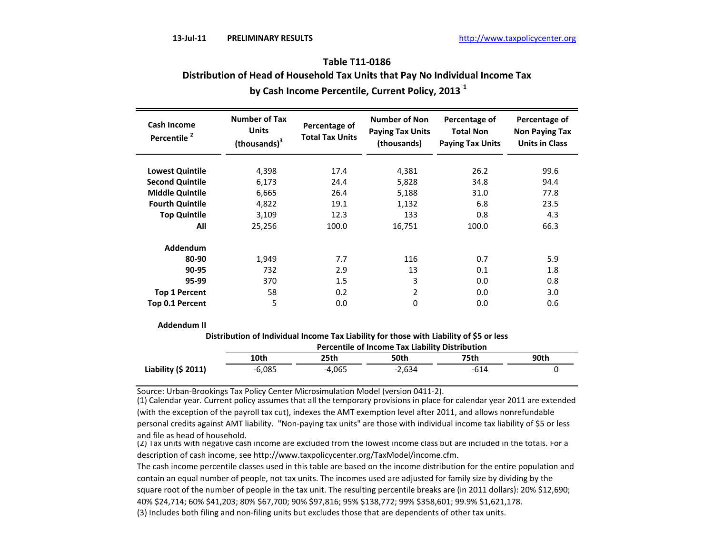# **by Cash Income Percentile, Current Policy, 2013 <sup>1</sup> Table T11-0186 Distribution of Head of Household Tax Units that Pay No Individual Income Tax**

| <b>Cash Income</b><br>Percentile <sup>2</sup> | <b>Number of Tax</b><br><b>Units</b><br>(thousands) <sup>3</sup> | Percentage of<br><b>Total Tax Units</b> | <b>Number of Non</b><br><b>Paying Tax Units</b><br>(thousands) | Percentage of<br><b>Total Non</b><br><b>Paying Tax Units</b> | Percentage of<br><b>Non Paying Tax</b><br><b>Units in Class</b> |
|-----------------------------------------------|------------------------------------------------------------------|-----------------------------------------|----------------------------------------------------------------|--------------------------------------------------------------|-----------------------------------------------------------------|
| <b>Lowest Quintile</b>                        | 4,398                                                            | 17.4                                    | 4,381                                                          | 26.2                                                         | 99.6                                                            |
| <b>Second Quintile</b>                        | 6,173                                                            | 24.4                                    | 5,828                                                          | 34.8                                                         | 94.4                                                            |
| <b>Middle Quintile</b>                        | 6,665                                                            | 26.4                                    | 5,188                                                          | 31.0                                                         | 77.8                                                            |
| <b>Fourth Quintile</b>                        | 4,822                                                            | 19.1                                    | 1,132                                                          | 6.8                                                          | 23.5                                                            |
| <b>Top Quintile</b>                           | 3,109                                                            | 12.3                                    | 133                                                            | 0.8                                                          | 4.3                                                             |
| All                                           | 25,256                                                           | 100.0                                   | 16,751                                                         | 100.0                                                        | 66.3                                                            |
| Addendum                                      |                                                                  |                                         |                                                                |                                                              |                                                                 |
| 80-90                                         | 1,949                                                            | 7.7                                     | 116                                                            | 0.7                                                          | 5.9                                                             |
| 90-95                                         | 732                                                              | 2.9                                     | 13                                                             | 0.1                                                          | 1.8                                                             |
| 95-99                                         | 370                                                              | 1.5                                     | 3                                                              | 0.0                                                          | 0.8                                                             |
| <b>Top 1 Percent</b>                          | 58                                                               | 0.2                                     | 2                                                              | 0.0                                                          | 3.0                                                             |
| Top 0.1 Percent                               | 5                                                                | 0.0                                     | 0                                                              | 0.0                                                          | 0.6                                                             |

**Addendum II**

**Distribution of Individual Income Tax Liability for those with Liability of \$5 or less**

|                      | <b>Percentile of Income Tax Liability Distribution</b> |          |          |      |      |  |  |
|----------------------|--------------------------------------------------------|----------|----------|------|------|--|--|
|                      | 10th                                                   | 25th     | 50th     | 75th | 90th |  |  |
| Liability $(5 2011)$ | -6.085                                                 | $-4.065$ | $-2.634$ | -614 |      |  |  |

Source: Urban-Brookings Tax Policy Center Microsimulation Model (version 0411-2).

(1) Calendar year. Current policy assumes that all the temporary provisions in place for calendar year 2011 are extended (with the exception of the payroll tax cut), indexes the AMT exemption level after 2011, and allows nonrefundable personal credits against AMT liability. "Non-paying tax units" are those with individual income tax liability of \$5 or less and file as head of household.

(2) Tax units with negative cash income are excluded from the lowest income class but are included in the totals. For a description of cash income, see http://www.taxpolicycenter.org/TaxModel/income.cfm.

The cash income percentile classes used in this table are based on the income distribution for the entire population and contain an equal number of people, not tax units. The incomes used are adjusted for family size by dividing by the square root of the number of people in the tax unit. The resulting percentile breaks are (in 2011 dollars): 20% \$12,690; 40% \$24,714; 60% \$41,203; 80% \$67,700; 90% \$97,816; 95% \$138,772; 99% \$358,601; 99.9% \$1,621,178.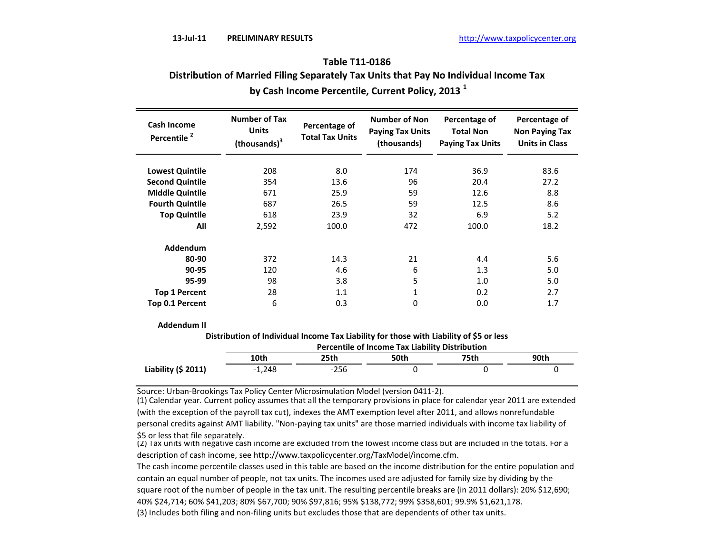# **by Cash Income Percentile, Current Policy, 2013 <sup>1</sup> Table T11-0186 Distribution of Married Filing Separately Tax Units that Pay No Individual Income Tax**

| <b>Cash Income</b><br>Percentile <sup>2</sup> | <b>Number of Tax</b><br><b>Units</b><br>(thousands) <sup>3</sup> | Percentage of<br><b>Total Tax Units</b> | <b>Number of Non</b><br><b>Paying Tax Units</b><br>(thousands) | Percentage of<br><b>Total Non</b><br><b>Paying Tax Units</b> | Percentage of<br><b>Non Paying Tax</b><br><b>Units in Class</b> |
|-----------------------------------------------|------------------------------------------------------------------|-----------------------------------------|----------------------------------------------------------------|--------------------------------------------------------------|-----------------------------------------------------------------|
| <b>Lowest Quintile</b>                        | 208                                                              | 8.0                                     | 174                                                            | 36.9                                                         | 83.6                                                            |
| <b>Second Quintile</b>                        | 354                                                              | 13.6                                    | 96                                                             | 20.4                                                         | 27.2                                                            |
| <b>Middle Quintile</b>                        | 671                                                              | 25.9                                    | 59                                                             | 12.6                                                         | 8.8                                                             |
| <b>Fourth Quintile</b>                        | 687                                                              | 26.5                                    | 59                                                             | 12.5                                                         | 8.6                                                             |
| <b>Top Quintile</b>                           | 618                                                              | 23.9                                    | 32                                                             | 6.9                                                          | 5.2                                                             |
| All                                           | 2,592                                                            | 100.0                                   | 472                                                            | 100.0                                                        | 18.2                                                            |
| Addendum                                      |                                                                  |                                         |                                                                |                                                              |                                                                 |
| 80-90                                         | 372                                                              | 14.3                                    | 21                                                             | 4.4                                                          | 5.6                                                             |
| 90-95                                         | 120                                                              | 4.6                                     | 6                                                              | 1.3                                                          | 5.0                                                             |
| 95-99                                         | 98                                                               | 3.8                                     | 5                                                              | 1.0                                                          | 5.0                                                             |
| <b>Top 1 Percent</b>                          | 28                                                               | 1.1                                     | 1                                                              | 0.2                                                          | 2.7                                                             |
| Top 0.1 Percent                               | 6                                                                | 0.3                                     | 0                                                              | 0.0                                                          | 1.7                                                             |

**Addendum II**

**Distribution of Individual Income Tax Liability for those with Liability of \$5 or less**

|                      | <b>Percentile of Income Tax Liability Distribution</b> |        |      |      |      |  |  |
|----------------------|--------------------------------------------------------|--------|------|------|------|--|--|
|                      | 10th                                                   | 25th   | 50th | 75th | 90th |  |  |
| Liability $(5 2011)$ | $-1.248$                                               | $-256$ |      |      |      |  |  |

Source: Urban-Brookings Tax Policy Center Microsimulation Model (version 0411-2).

(1) Calendar year. Current policy assumes that all the temporary provisions in place for calendar year 2011 are extended (with the exception of the payroll tax cut), indexes the AMT exemption level after 2011, and allows nonrefundable personal credits against AMT liability. "Non-paying tax units" are those married individuals with income tax liability of \$5 or less that file separately.

(2) Tax units with negative cash income are excluded from the lowest income class but are included in the totals. For a description of cash income, see http://www.taxpolicycenter.org/TaxModel/income.cfm.

The cash income percentile classes used in this table are based on the income distribution for the entire population and contain an equal number of people, not tax units. The incomes used are adjusted for family size by dividing by the square root of the number of people in the tax unit. The resulting percentile breaks are (in 2011 dollars): 20% \$12,690; 40% \$24,714; 60% \$41,203; 80% \$67,700; 90% \$97,816; 95% \$138,772; 99% \$358,601; 99.9% \$1,621,178.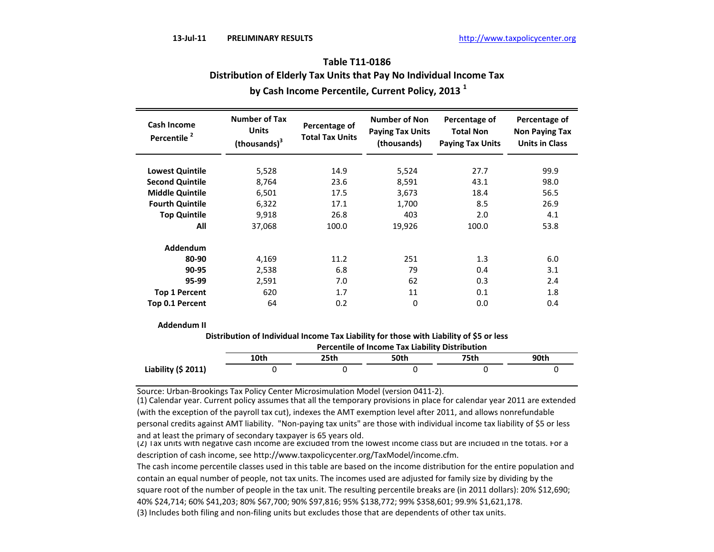| Table T11-0186                                                      |
|---------------------------------------------------------------------|
| Distribution of Elderly Tax Units that Pay No Individual Income Tax |
| by Cash Income Percentile, Current Policy, 2013 <sup>1</sup>        |

| <b>Cash Income</b><br>Percentile <sup>2</sup> | <b>Number of Tax</b><br><b>Units</b><br>(thousands) <sup>3</sup> | Percentage of<br><b>Total Tax Units</b> | <b>Number of Non</b><br><b>Paying Tax Units</b><br>(thousands) | Percentage of<br><b>Total Non</b><br><b>Paying Tax Units</b> | Percentage of<br><b>Non Paying Tax</b><br><b>Units in Class</b> |
|-----------------------------------------------|------------------------------------------------------------------|-----------------------------------------|----------------------------------------------------------------|--------------------------------------------------------------|-----------------------------------------------------------------|
| <b>Lowest Quintile</b>                        | 5,528                                                            | 14.9                                    | 5,524                                                          | 27.7                                                         | 99.9                                                            |
| <b>Second Quintile</b>                        | 8,764                                                            | 23.6                                    | 8,591                                                          | 43.1                                                         | 98.0                                                            |
| <b>Middle Quintile</b>                        | 6,501                                                            | 17.5                                    | 3,673                                                          | 18.4                                                         | 56.5                                                            |
| <b>Fourth Quintile</b>                        | 6,322                                                            | 17.1                                    | 1,700                                                          | 8.5                                                          | 26.9                                                            |
| <b>Top Quintile</b>                           | 9,918                                                            | 26.8                                    | 403                                                            | 2.0                                                          | 4.1                                                             |
| All                                           | 37,068                                                           | 100.0                                   | 19,926                                                         | 100.0                                                        | 53.8                                                            |
| Addendum                                      |                                                                  |                                         |                                                                |                                                              |                                                                 |
| 80-90                                         | 4,169                                                            | 11.2                                    | 251                                                            | 1.3                                                          | 6.0                                                             |
| 90-95                                         | 2,538                                                            | 6.8                                     | 79                                                             | 0.4                                                          | 3.1                                                             |
| 95-99                                         | 2,591                                                            | 7.0                                     | 62                                                             | 0.3                                                          | 2.4                                                             |
| <b>Top 1 Percent</b>                          | 620                                                              | 1.7                                     | 11                                                             | 0.1                                                          | 1.8                                                             |
| Top 0.1 Percent                               | 64                                                               | 0.2                                     | 0                                                              | 0.0                                                          | 0.4                                                             |

**Addendum II**

**Distribution of Individual Income Tax Liability for those with Liability of \$5 or less**

|                      | <b>Percentile of Income Tax Liability Distribution</b> |      |      |      |      |  |
|----------------------|--------------------------------------------------------|------|------|------|------|--|
|                      | 10th                                                   | 25th | 50th | 75th | 90th |  |
| Liability $(5 2011)$ |                                                        |      |      |      |      |  |

Source: Urban-Brookings Tax Policy Center Microsimulation Model (version 0411-2).

(1) Calendar year. Current policy assumes that all the temporary provisions in place for calendar year 2011 are extended (with the exception of the payroll tax cut), indexes the AMT exemption level after 2011, and allows nonrefundable personal credits against AMT liability. "Non-paying tax units" are those with individual income tax liability of \$5 or less and at least the primary of secondary taxpayer is 65 years old.

The cash income percentile classes used in this table are based on the income distribution for the entire population and contain an equal number of people, not tax units. The incomes used are adjusted for family size by dividing by the square root of the number of people in the tax unit. The resulting percentile breaks are (in 2011 dollars): 20% \$12,690; 40% \$24,714; 60% \$41,203; 80% \$67,700; 90% \$97,816; 95% \$138,772; 99% \$358,601; 99.9% \$1,621,178.

<sup>(2)</sup> Tax units with negative cash income are excluded from the lowest income class but are included in the totals. For a description of cash income, see http://www.taxpolicycenter.org/TaxModel/income.cfm.